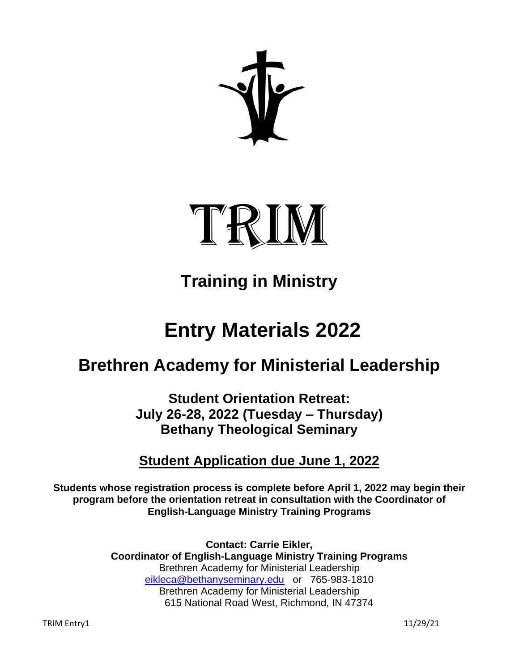

# **Training in Ministry**

# **Entry Materials 2022**

# **Brethren Academy for Ministerial Leadership**

**Student Orientation Retreat: July 26-28, 2022 (Tuesday – Thursday) Bethany Theological Seminary**

## **Student Application due June 1, 2022**

**Students whose registration process is complete before April 1, 2022 may begin their program before the orientation retreat in consultation with the Coordinator of English-Language Ministry Training Programs**

> **Contact: Carrie Eikler, Coordinator of English-Language Ministry Training Programs** Brethren Academy for Ministerial Leadership [eikleca@bethanyseminary.edu](mailto:eikleca@bethanyseminary.edu) or 765-983-1810 Brethren Academy for Ministerial Leadership 615 National Road West, Richmond, IN 47374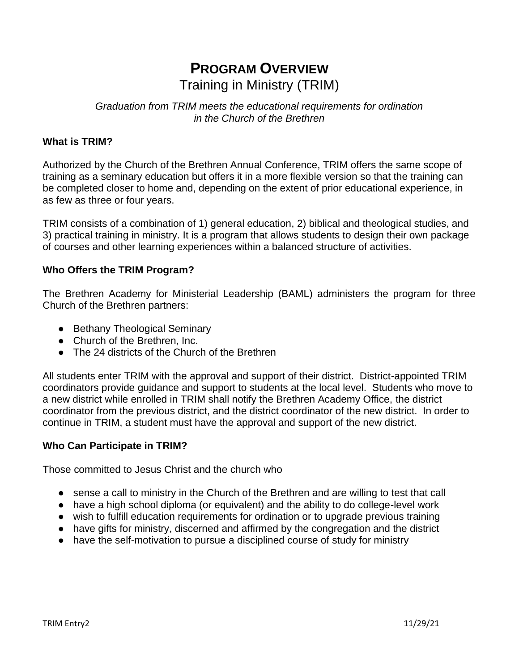# **PROGRAM OVERVIEW** Training in Ministry (TRIM)

### *Graduation from TRIM meets the educational requirements for ordination in the Church of the Brethren*

### **What is TRIM?**

Authorized by the Church of the Brethren Annual Conference, TRIM offers the same scope of training as a seminary education but offers it in a more flexible version so that the training can be completed closer to home and, depending on the extent of prior educational experience, in as few as three or four years.

TRIM consists of a combination of 1) general education, 2) biblical and theological studies, and 3) practical training in ministry. It is a program that allows students to design their own package of courses and other learning experiences within a balanced structure of activities.

### **Who Offers the TRIM Program?**

The Brethren Academy for Ministerial Leadership (BAML) administers the program for three Church of the Brethren partners:

- Bethany Theological Seminary
- Church of the Brethren, Inc.
- The 24 districts of the Church of the Brethren

All students enter TRIM with the approval and support of their district. District-appointed TRIM coordinators provide guidance and support to students at the local level. Students who move to a new district while enrolled in TRIM shall notify the Brethren Academy Office, the district coordinator from the previous district, and the district coordinator of the new district. In order to continue in TRIM, a student must have the approval and support of the new district.

### **Who Can Participate in TRIM?**

Those committed to Jesus Christ and the church who

- sense a call to ministry in the Church of the Brethren and are willing to test that call
- have a high school diploma (or equivalent) and the ability to do college-level work
- wish to fulfill education requirements for ordination or to upgrade previous training
- have gifts for ministry, discerned and affirmed by the congregation and the district
- have the self-motivation to pursue a disciplined course of study for ministry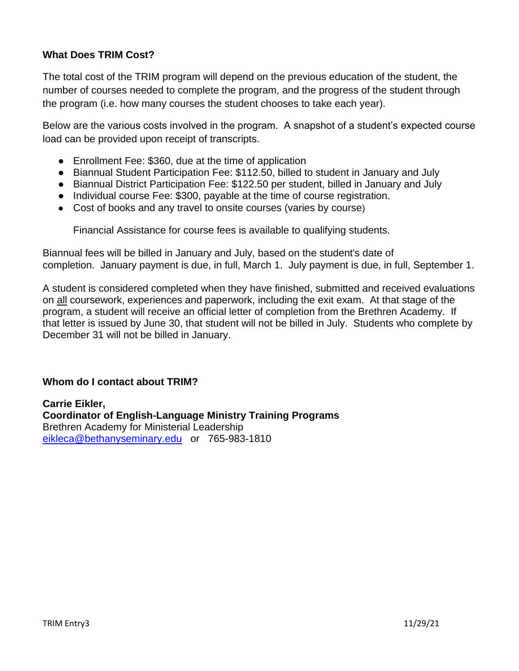### **What Does TRIM Cost?**

The total cost of the TRIM program will depend on the previous education of the student, the number of courses needed to complete the program, and the progress of the student through the program (i.e. how many courses the student chooses to take each year).

Below are the various costs involved in the program. A snapshot of a student's expected course load can be provided upon receipt of transcripts.

- Enrollment Fee: \$360, due at the time of application
- Biannual Student Participation Fee: \$112.50, billed to student in January and July
- Biannual District Participation Fee: \$122.50 per student, billed in January and July
- Individual course Fee: \$300, payable at the time of course registration.
- Cost of books and any travel to onsite courses (varies by course)

Financial Assistance for course fees is available to qualifying students.

Biannual fees will be billed in January and July, based on the student's date of completion. January payment is due, in full, March 1. July payment is due, in full, September 1.

A student is considered completed when they have finished, submitted and received evaluations on all coursework, experiences and paperwork, including the exit exam. At that stage of the program, a student will receive an official letter of completion from the Brethren Academy. If that letter is issued by June 30, that student will not be billed in July. Students who complete by December 31 will not be billed in January.

### **Whom do I contact about TRIM?**

**Carrie Eikler, Coordinator of English-Language Ministry Training Programs** Brethren Academy for Ministerial Leadership [eikleca@bethanyseminary.edu](mailto:eikleca@bethanyseminary.edu) or 765-983-1810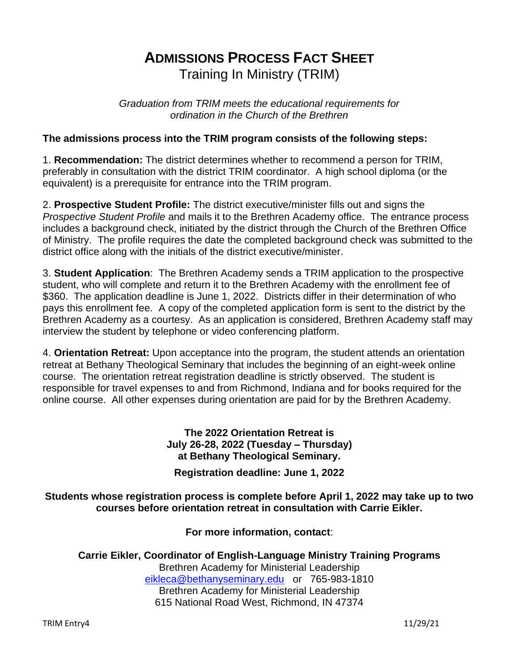# **ADMISSIONS PROCESS FACT SHEET**  Training In Ministry (TRIM)

*Graduation from TRIM meets the educational requirements for ordination in the Church of the Brethren*

### **The admissions process into the TRIM program consists of the following steps:**

1. **Recommendation:** The district determines whether to recommend a person for TRIM, preferably in consultation with the district TRIM coordinator. A high school diploma (or the equivalent) is a prerequisite for entrance into the TRIM program.

2. **Prospective Student Profile:** The district executive/minister fills out and signs the *Prospective Student Profile* and mails it to the Brethren Academy office. The entrance process includes a background check, initiated by the district through the Church of the Brethren Office of Ministry. The profile requires the date the completed background check was submitted to the district office along with the initials of the district executive/minister.

3. **Student Application**: The Brethren Academy sends a TRIM application to the prospective student, who will complete and return it to the Brethren Academy with the enrollment fee of \$360. The application deadline is June 1, 2022. Districts differ in their determination of who pays this enrollment fee. A copy of the completed application form is sent to the district by the Brethren Academy as a courtesy. As an application is considered, Brethren Academy staff may interview the student by telephone or video conferencing platform.

4. **Orientation Retreat:** Upon acceptance into the program, the student attends an orientation retreat at Bethany Theological Seminary that includes the beginning of an eight-week online course. The orientation retreat registration deadline is strictly observed. The student is responsible for travel expenses to and from Richmond, Indiana and for books required for the online course. All other expenses during orientation are paid for by the Brethren Academy.

> **The 2022 Orientation Retreat is July 26-28, 2022 (Tuesday – Thursday) at Bethany Theological Seminary.**

**Registration deadline: June 1, 2022**

**Students whose registration process is complete before April 1, 2022 may take up to two courses before orientation retreat in consultation with Carrie Eikler.**

**For more information, contact**:

**Carrie Eikler, Coordinator of English-Language Ministry Training Programs** Brethren Academy for Ministerial Leadership [eikleca@bethanyseminary.edu](mailto:eikleca@bethanyseminary.edu) or 765-983-1810 Brethren Academy for Ministerial Leadership 615 National Road West, Richmond, IN 47374

TRIM Entry4 11/29/21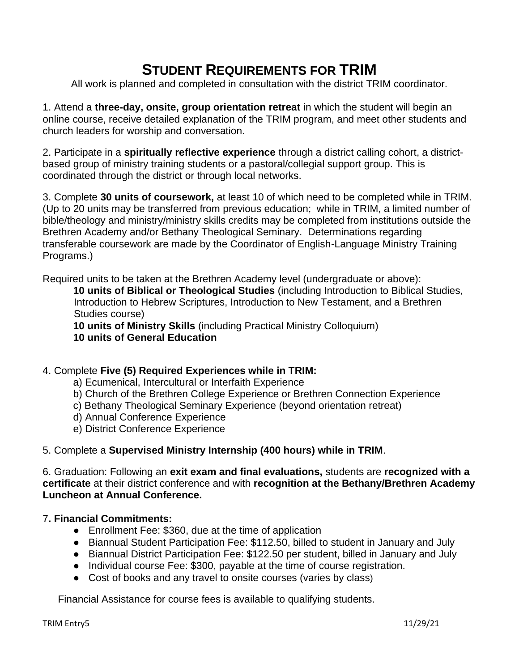# **STUDENT REQUIREMENTS FOR TRIM**

All work is planned and completed in consultation with the district TRIM coordinator.

1. Attend a **three-day, onsite, group orientation retreat** in which the student will begin an online course, receive detailed explanation of the TRIM program, and meet other students and church leaders for worship and conversation.

2. Participate in a **spiritually reflective experience** through a district calling cohort, a districtbased group of ministry training students or a pastoral/collegial support group. This is coordinated through the district or through local networks.

3. Complete **30 units of coursework,** at least 10 of which need to be completed while in TRIM. (Up to 20 units may be transferred from previous education; while in TRIM, a limited number of bible/theology and ministry/ministry skills credits may be completed from institutions outside the Brethren Academy and/or Bethany Theological Seminary. Determinations regarding transferable coursework are made by the Coordinator of English-Language Ministry Training Programs.)

Required units to be taken at the Brethren Academy level (undergraduate or above):

**10 units of Biblical or Theological Studies** (including Introduction to Biblical Studies, Introduction to Hebrew Scriptures, Introduction to New Testament, and a Brethren Studies course)

**10 units of Ministry Skills** (including Practical Ministry Colloquium) **10 units of General Education**

### 4. Complete **Five (5) Required Experiences while in TRIM:**

- a) Ecumenical, Intercultural or Interfaith Experience
- b) Church of the Brethren College Experience or Brethren Connection Experience
- c) Bethany Theological Seminary Experience (beyond orientation retreat)
- d) Annual Conference Experience
- e) District Conference Experience

### 5. Complete a **Supervised Ministry Internship (400 hours) while in TRIM**.

6. Graduation: Following an **exit exam and final evaluations,** students are **recognized with a certificate** at their district conference and with **recognition at the Bethany/Brethren Academy Luncheon at Annual Conference.**

### 7**. Financial Commitments:**

- Enrollment Fee: \$360, due at the time of application
- Biannual Student Participation Fee: \$112.50, billed to student in January and July
- Biannual District Participation Fee: \$122.50 per student, billed in January and July
- Individual course Fee: \$300, payable at the time of course registration.
- Cost of books and any travel to onsite courses (varies by class)

Financial Assistance for course fees is available to qualifying students.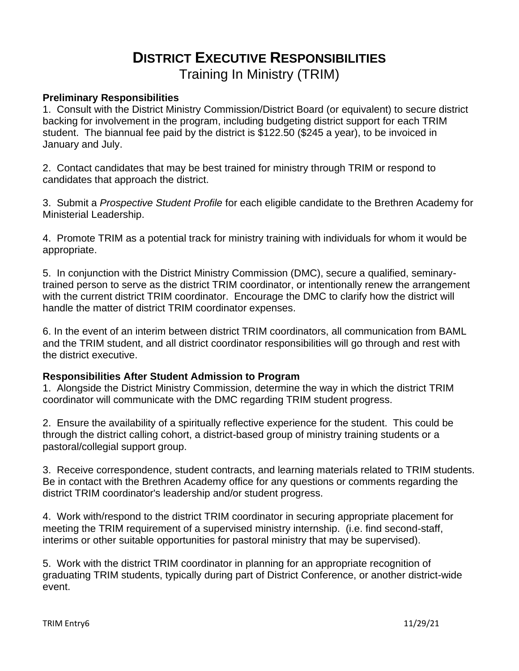# **DISTRICT EXECUTIVE RESPONSIBILITIES** Training In Ministry (TRIM)

#### **Preliminary Responsibilities**

1. Consult with the District Ministry Commission/District Board (or equivalent) to secure district backing for involvement in the program, including budgeting district support for each TRIM student. The biannual fee paid by the district is \$122.50 (\$245 a year), to be invoiced in January and July.

2. Contact candidates that may be best trained for ministry through TRIM or respond to candidates that approach the district.

3. Submit a *Prospective Student Profile* for each eligible candidate to the Brethren Academy for Ministerial Leadership.

4. Promote TRIM as a potential track for ministry training with individuals for whom it would be appropriate.

5. In conjunction with the District Ministry Commission (DMC), secure a qualified, seminarytrained person to serve as the district TRIM coordinator, or intentionally renew the arrangement with the current district TRIM coordinator. Encourage the DMC to clarify how the district will handle the matter of district TRIM coordinator expenses.

6. In the event of an interim between district TRIM coordinators, all communication from BAML and the TRIM student, and all district coordinator responsibilities will go through and rest with the district executive.

### **Responsibilities After Student Admission to Program**

1. Alongside the District Ministry Commission, determine the way in which the district TRIM coordinator will communicate with the DMC regarding TRIM student progress.

2. Ensure the availability of a spiritually reflective experience for the student. This could be through the district calling cohort, a district-based group of ministry training students or a pastoral/collegial support group.

3. Receive correspondence, student contracts, and learning materials related to TRIM students. Be in contact with the Brethren Academy office for any questions or comments regarding the district TRIM coordinator's leadership and/or student progress.

4. Work with/respond to the district TRIM coordinator in securing appropriate placement for meeting the TRIM requirement of a supervised ministry internship. (i.e. find second-staff, interims or other suitable opportunities for pastoral ministry that may be supervised).

5. Work with the district TRIM coordinator in planning for an appropriate recognition of graduating TRIM students, typically during part of District Conference, or another district-wide event.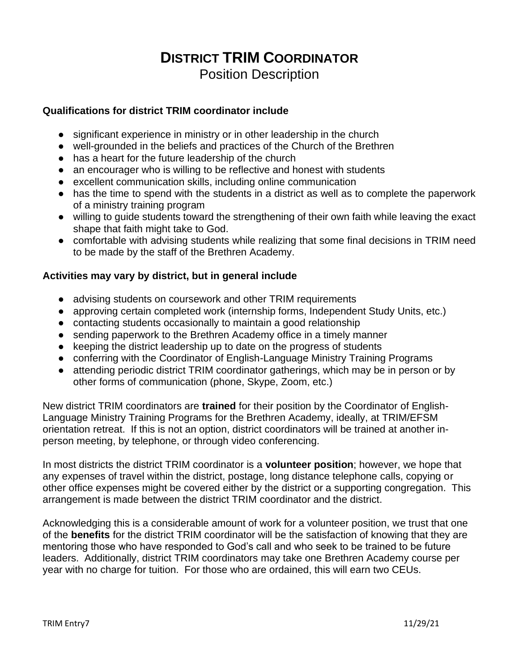### **DISTRICT TRIM COORDINATOR** Position Description

### **Qualifications for district TRIM coordinator include**

- significant experience in ministry or in other leadership in the church
- well-grounded in the beliefs and practices of the Church of the Brethren
- has a heart for the future leadership of the church
- an encourager who is willing to be reflective and honest with students
- excellent communication skills, including online communication
- has the time to spend with the students in a district as well as to complete the paperwork of a ministry training program
- willing to guide students toward the strengthening of their own faith while leaving the exact shape that faith might take to God.
- comfortable with advising students while realizing that some final decisions in TRIM need to be made by the staff of the Brethren Academy.

### **Activities may vary by district, but in general include**

- advising students on coursework and other TRIM requirements
- approving certain completed work (internship forms, Independent Study Units, etc.)
- contacting students occasionally to maintain a good relationship
- sending paperwork to the Brethren Academy office in a timely manner
- keeping the district leadership up to date on the progress of students
- conferring with the Coordinator of English-Language Ministry Training Programs
- attending periodic district TRIM coordinator gatherings, which may be in person or by other forms of communication (phone, Skype, Zoom, etc.)

New district TRIM coordinators are **trained** for their position by the Coordinator of English-Language Ministry Training Programs for the Brethren Academy, ideally, at TRIM/EFSM orientation retreat. If this is not an option, district coordinators will be trained at another inperson meeting, by telephone, or through video conferencing.

In most districts the district TRIM coordinator is a **volunteer position**; however, we hope that any expenses of travel within the district, postage, long distance telephone calls, copying or other office expenses might be covered either by the district or a supporting congregation. This arrangement is made between the district TRIM coordinator and the district.

Acknowledging this is a considerable amount of work for a volunteer position, we trust that one of the **benefits** for the district TRIM coordinator will be the satisfaction of knowing that they are mentoring those who have responded to God's call and who seek to be trained to be future leaders. Additionally, district TRIM coordinators may take one Brethren Academy course per year with no charge for tuition. For those who are ordained, this will earn two CEUs.